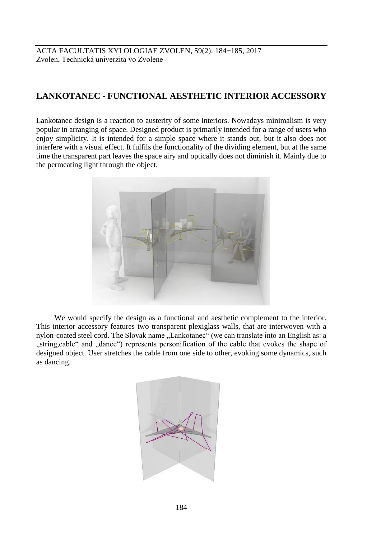## **LANKOTANEC - FUNCTIONAL AESTHETIC INTERIOR ACCESSORY**

Lankotanec design is a reaction to austerity of some interiors. Nowadays minimalism is very popular in arranging of space. Designed product is primarily intended for a range of users who enjoy simplicity. It is intended for a simple space where it stands out, but it also does not interfere with a visual effect. It fulfils the functionality of the dividing element, but at the same time the transparent part leaves the space airy and optically does not diminish it. Mainly due to the permeating light through the object.



We would specify the design as a functional and aesthetic complement to the interior. This interior accessory features two transparent plexiglass walls, that are interwoven with a nylon-coated steel cord. The Slovak name "Lankotanec" (we can translate into an English as: a "string,cable" and "dance") represents personification of the cable that evokes the shape of designed object. User stretches the cable from one side to other, evoking some dynamics, such as dancing.